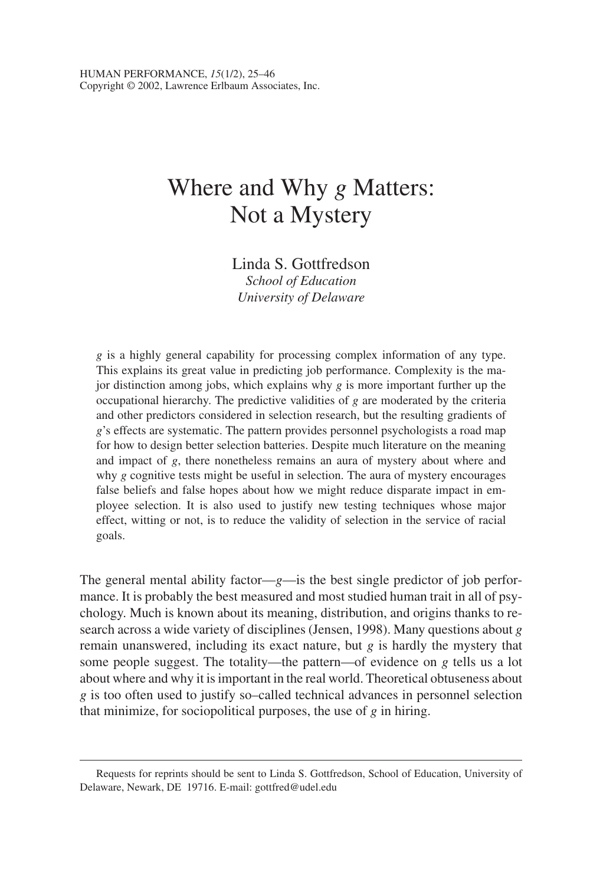# Where and Why *g* Matters: Not a Mystery

Linda S. Gottfredson *School of Education University of Delaware*

*g* is a highly general capability for processing complex information of any type. This explains its great value in predicting job performance. Complexity is the major distinction among jobs, which explains why *g* is more important further up the occupational hierarchy. The predictive validities of *g* are moderated by the criteria and other predictors considered in selection research, but the resulting gradients of *g*'s effects are systematic. The pattern provides personnel psychologists a road map for how to design better selection batteries. Despite much literature on the meaning and impact of *g*, there nonetheless remains an aura of mystery about where and why *g* cognitive tests might be useful in selection. The aura of mystery encourages false beliefs and false hopes about how we might reduce disparate impact in employee selection. It is also used to justify new testing techniques whose major effect, witting or not, is to reduce the validity of selection in the service of racial goals.

The general mental ability factor—*g*—is the best single predictor of job performance. It is probably the best measured and most studied human trait in all of psychology. Much is known about its meaning, distribution, and origins thanks to research across a wide variety of disciplines (Jensen, 1998). Many questions about *g* remain unanswered, including its exact nature, but *g* is hardly the mystery that some people suggest. The totality—the pattern—of evidence on *g* tells us a lot about where and why it is important in the real world. Theoretical obtuseness about *g* is too often used to justify so–called technical advances in personnel selection that minimize, for sociopolitical purposes, the use of *g* in hiring.

Requests for reprints should be sent to Linda S. Gottfredson, School of Education, University of Delaware, Newark, DE 19716. E-mail: gottfred@udel.edu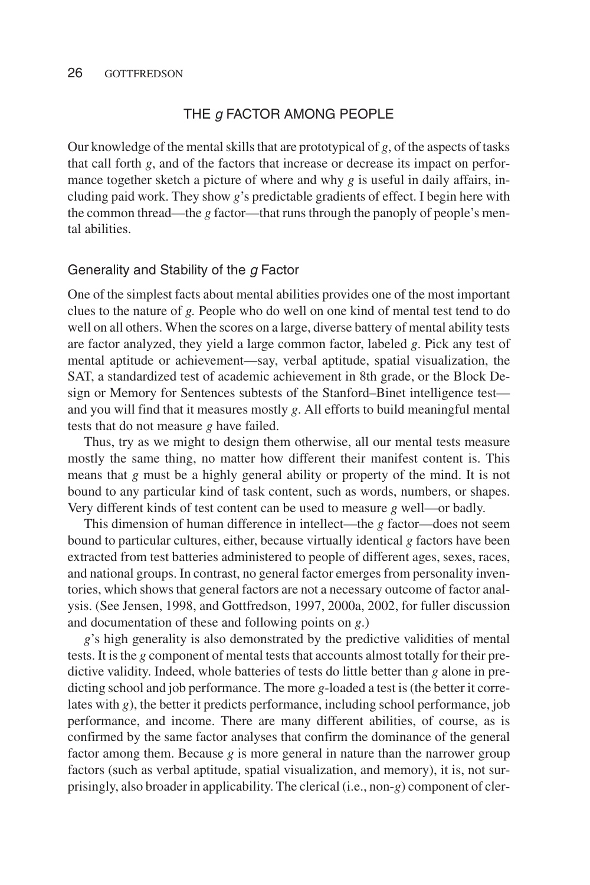## THE *g* FACTOR AMONG PEOPLE

Our knowledge of the mental skills that are prototypical of *g*, of the aspects of tasks that call forth *g*, and of the factors that increase or decrease its impact on performance together sketch a picture of where and why *g* is useful in daily affairs, including paid work. They show *g*'s predictable gradients of effect. I begin here with the common thread—the *g* factor—that runs through the panoply of people's mental abilities.

## Generality and Stability of the g Factor

One of the simplest facts about mental abilities provides one of the most important clues to the nature of *g.* People who do well on one kind of mental test tend to do well on all others. When the scores on a large, diverse battery of mental ability tests are factor analyzed, they yield a large common factor, labeled *g*. Pick any test of mental aptitude or achievement—say, verbal aptitude, spatial visualization, the SAT, a standardized test of academic achievement in 8th grade, or the Block Design or Memory for Sentences subtests of the Stanford–Binet intelligence test and you will find that it measures mostly *g*. All efforts to build meaningful mental tests that do not measure *g* have failed.

Thus, try as we might to design them otherwise, all our mental tests measure mostly the same thing, no matter how different their manifest content is. This means that *g* must be a highly general ability or property of the mind. It is not bound to any particular kind of task content, such as words, numbers, or shapes. Very different kinds of test content can be used to measure *g* well—or badly.

This dimension of human difference in intellect—the *g* factor—does not seem bound to particular cultures, either, because virtually identical *g* factors have been extracted from test batteries administered to people of different ages, sexes, races, and national groups. In contrast, no general factor emerges from personality inventories, which shows that general factors are not a necessary outcome of factor analysis. (See Jensen, 1998, and Gottfredson, 1997, 2000a, 2002, for fuller discussion and documentation of these and following points on *g*.)

*g*'s high generality is also demonstrated by the predictive validities of mental tests. It is the *g* component of mental tests that accounts almost totally for their predictive validity. Indeed, whole batteries of tests do little better than *g* alone in predicting school and job performance. The more *g*-loaded a test is (the better it correlates with *g*), the better it predicts performance, including school performance, job performance, and income. There are many different abilities, of course, as is confirmed by the same factor analyses that confirm the dominance of the general factor among them. Because *g* is more general in nature than the narrower group factors (such as verbal aptitude, spatial visualization, and memory), it is, not surprisingly, also broader in applicability. The clerical (i.e., non-*g*) component of cler-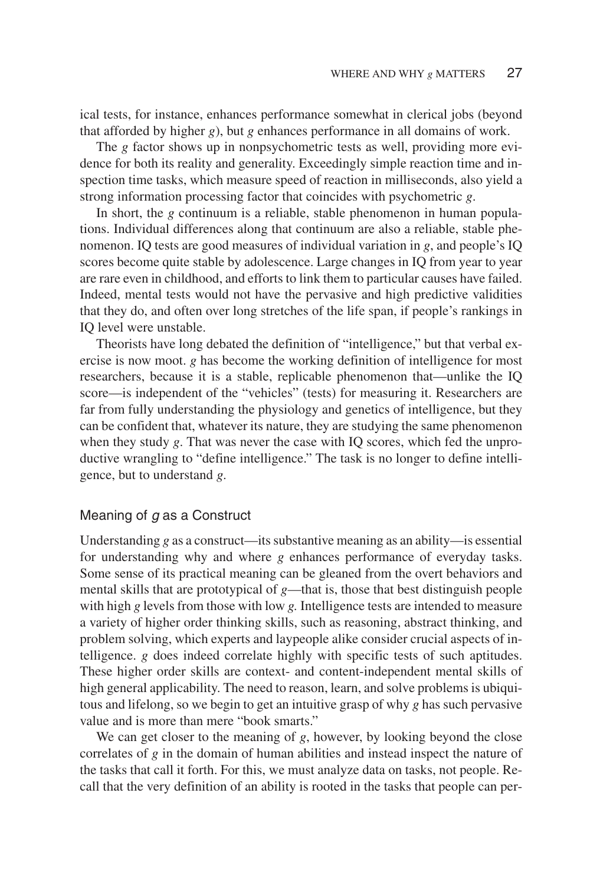ical tests, for instance, enhances performance somewhat in clerical jobs (beyond that afforded by higher *g*), but *g* enhances performance in all domains of work.

The *g* factor shows up in nonpsychometric tests as well, providing more evidence for both its reality and generality. Exceedingly simple reaction time and inspection time tasks, which measure speed of reaction in milliseconds, also yield a strong information processing factor that coincides with psychometric *g*.

In short, the *g* continuum is a reliable, stable phenomenon in human populations. Individual differences along that continuum are also a reliable, stable phenomenon. IQ tests are good measures of individual variation in *g*, and people's IQ scores become quite stable by adolescence. Large changes in IQ from year to year are rare even in childhood, and efforts to link them to particular causes have failed. Indeed, mental tests would not have the pervasive and high predictive validities that they do, and often over long stretches of the life span, if people's rankings in IQ level were unstable.

Theorists have long debated the definition of "intelligence," but that verbal exercise is now moot. *g* has become the working definition of intelligence for most researchers, because it is a stable, replicable phenomenon that—unlike the IQ score—is independent of the "vehicles" (tests) for measuring it. Researchers are far from fully understanding the physiology and genetics of intelligence, but they can be confident that, whatever its nature, they are studying the same phenomenon when they study *g*. That was never the case with IQ scores, which fed the unproductive wrangling to "define intelligence." The task is no longer to define intelligence, but to understand *g*.

#### Meaning of  $g$  as a Construct

Understanding *g* as a construct—its substantive meaning as an ability—is essential for understanding why and where *g* enhances performance of everyday tasks. Some sense of its practical meaning can be gleaned from the overt behaviors and mental skills that are prototypical of *g*—that is, those that best distinguish people with high *g* levels from those with low *g.* Intelligence tests are intended to measure a variety of higher order thinking skills, such as reasoning, abstract thinking, and problem solving, which experts and laypeople alike consider crucial aspects of intelligence. *g* does indeed correlate highly with specific tests of such aptitudes. These higher order skills are context- and content-independent mental skills of high general applicability. The need to reason, learn, and solve problems is ubiquitous and lifelong, so we begin to get an intuitive grasp of why *g* has such pervasive value and is more than mere "book smarts."

We can get closer to the meaning of *g*, however, by looking beyond the close correlates of *g* in the domain of human abilities and instead inspect the nature of the tasks that call it forth. For this, we must analyze data on tasks, not people. Recall that the very definition of an ability is rooted in the tasks that people can per-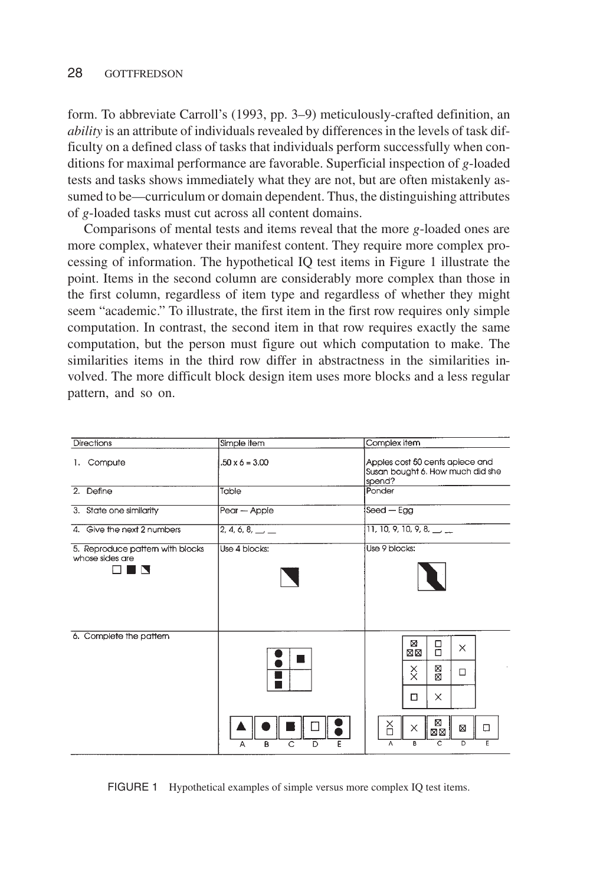form. To abbreviate Carroll's (1993, pp. 3–9) meticulously-crafted definition, an *ability* is an attribute of individuals revealed by differences in the levels of task difficulty on a defined class of tasks that individuals perform successfully when conditions for maximal performance are favorable. Superficial inspection of *g*-loaded tests and tasks shows immediately what they are not, but are often mistakenly assumed to be—curriculum or domain dependent. Thus, the distinguishing attributes of *g*-loaded tasks must cut across all content domains.

Comparisons of mental tests and items reveal that the more *g*-loaded ones are more complex, whatever their manifest content. They require more complex processing of information. The hypothetical IQ test items in Figure 1 illustrate the point. Items in the second column are considerably more complex than those in the first column, regardless of item type and regardless of whether they might seem "academic." To illustrate, the first item in the first row requires only simple computation. In contrast, the second item in that row requires exactly the same computation, but the person must figure out which computation to make. The similarities items in the third row differ in abstractness in the similarities involved. The more difficult block design item uses more blocks and a less regular pattern, and so on.



FIGURE 1 Hypothetical examples of simple versus more complex IQ test items.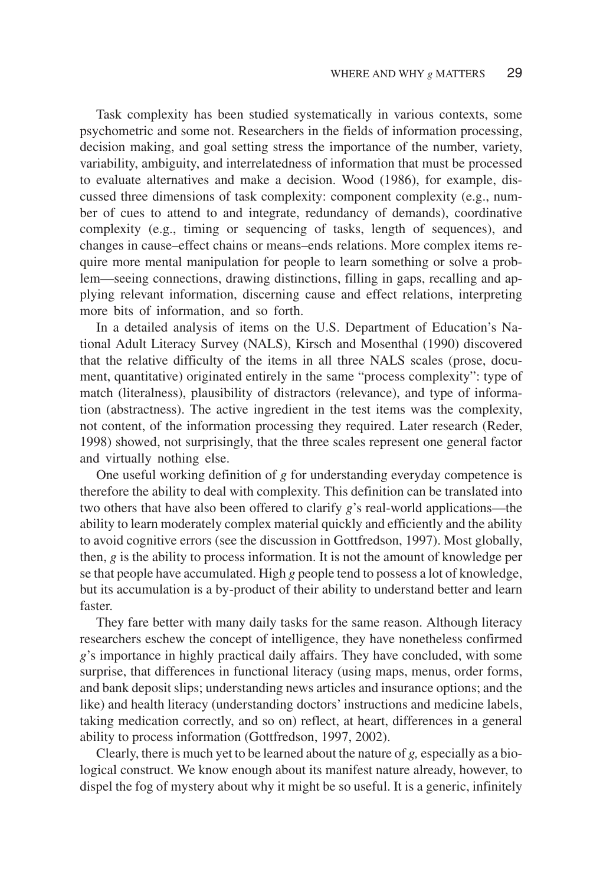Task complexity has been studied systematically in various contexts, some psychometric and some not. Researchers in the fields of information processing, decision making, and goal setting stress the importance of the number, variety, variability, ambiguity, and interrelatedness of information that must be processed to evaluate alternatives and make a decision. Wood (1986), for example, discussed three dimensions of task complexity: component complexity (e.g., number of cues to attend to and integrate, redundancy of demands), coordinative complexity (e.g., timing or sequencing of tasks, length of sequences), and changes in cause–effect chains or means–ends relations. More complex items require more mental manipulation for people to learn something or solve a problem—seeing connections, drawing distinctions, filling in gaps, recalling and applying relevant information, discerning cause and effect relations, interpreting more bits of information, and so forth.

In a detailed analysis of items on the U.S. Department of Education's National Adult Literacy Survey (NALS), Kirsch and Mosenthal (1990) discovered that the relative difficulty of the items in all three NALS scales (prose, document, quantitative) originated entirely in the same "process complexity": type of match (literalness), plausibility of distractors (relevance), and type of information (abstractness). The active ingredient in the test items was the complexity, not content, of the information processing they required. Later research (Reder, 1998) showed, not surprisingly, that the three scales represent one general factor and virtually nothing else.

One useful working definition of *g* for understanding everyday competence is therefore the ability to deal with complexity. This definition can be translated into two others that have also been offered to clarify *g*'s real-world applications—the ability to learn moderately complex material quickly and efficiently and the ability to avoid cognitive errors (see the discussion in Gottfredson, 1997). Most globally, then, *g* is the ability to process information. It is not the amount of knowledge per se that people have accumulated. High *g* people tend to possess a lot of knowledge, but its accumulation is a by-product of their ability to understand better and learn faster.

They fare better with many daily tasks for the same reason. Although literacy researchers eschew the concept of intelligence, they have nonetheless confirmed *g*'s importance in highly practical daily affairs. They have concluded, with some surprise, that differences in functional literacy (using maps, menus, order forms, and bank deposit slips; understanding news articles and insurance options; and the like) and health literacy (understanding doctors' instructions and medicine labels, taking medication correctly, and so on) reflect, at heart, differences in a general ability to process information (Gottfredson, 1997, 2002).

Clearly, there is much yet to be learned about the nature of *g,* especially as a biological construct. We know enough about its manifest nature already, however, to dispel the fog of mystery about why it might be so useful. It is a generic, infinitely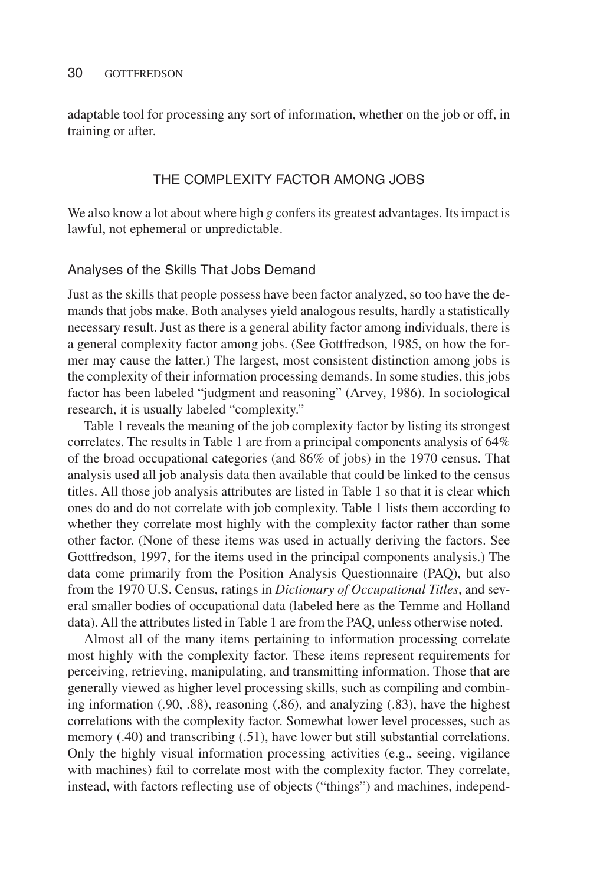adaptable tool for processing any sort of information, whether on the job or off, in training or after.

#### THE COMPLEXITY FACTOR AMONG JOBS

We also know a lot about where high *g* confers its greatest advantages. Its impact is lawful, not ephemeral or unpredictable.

#### Analyses of the Skills That Jobs Demand

Just as the skills that people possess have been factor analyzed, so too have the demands that jobs make. Both analyses yield analogous results, hardly a statistically necessary result. Just as there is a general ability factor among individuals, there is a general complexity factor among jobs. (See Gottfredson, 1985, on how the former may cause the latter.) The largest, most consistent distinction among jobs is the complexity of their information processing demands. In some studies, this jobs factor has been labeled "judgment and reasoning" (Arvey, 1986). In sociological research, it is usually labeled "complexity."

Table 1 reveals the meaning of the job complexity factor by listing its strongest correlates. The results in Table 1 are from a principal components analysis of 64% of the broad occupational categories (and 86% of jobs) in the 1970 census. That analysis used all job analysis data then available that could be linked to the census titles. All those job analysis attributes are listed in Table 1 so that it is clear which ones do and do not correlate with job complexity. Table 1 lists them according to whether they correlate most highly with the complexity factor rather than some other factor. (None of these items was used in actually deriving the factors. See Gottfredson, 1997, for the items used in the principal components analysis.) The data come primarily from the Position Analysis Questionnaire (PAQ), but also from the 1970 U.S. Census, ratings in *Dictionary of Occupational Titles*, and several smaller bodies of occupational data (labeled here as the Temme and Holland data). All the attributes listed in Table 1 are from the PAQ, unless otherwise noted.

Almost all of the many items pertaining to information processing correlate most highly with the complexity factor. These items represent requirements for perceiving, retrieving, manipulating, and transmitting information. Those that are generally viewed as higher level processing skills, such as compiling and combining information (.90, .88), reasoning (.86), and analyzing (.83), have the highest correlations with the complexity factor. Somewhat lower level processes, such as memory (.40) and transcribing (.51), have lower but still substantial correlations. Only the highly visual information processing activities (e.g., seeing, vigilance with machines) fail to correlate most with the complexity factor. They correlate, instead, with factors reflecting use of objects ("things") and machines, independ-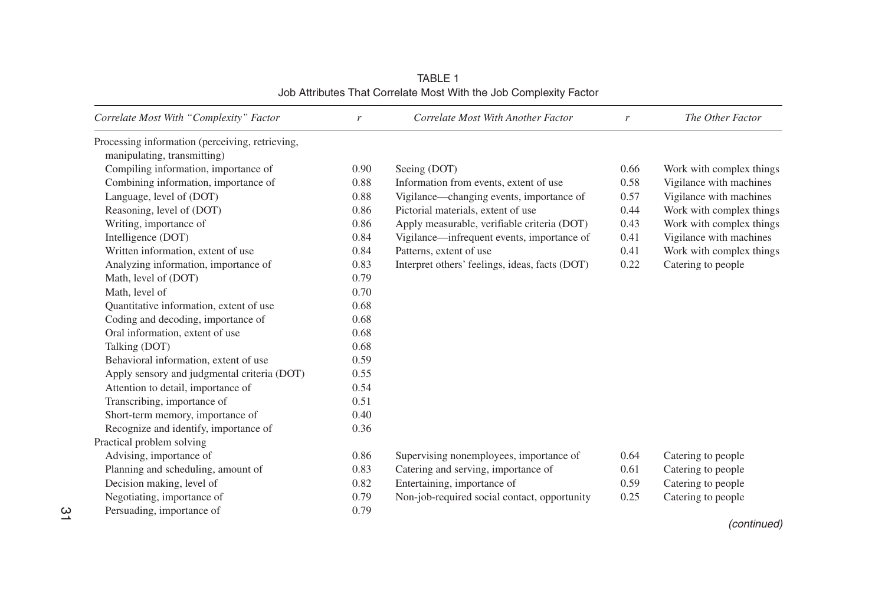| Correlate Most With "Complexity" Factor         | r    | Correlate Most With Another Factor             | r    | The Other Factor         |
|-------------------------------------------------|------|------------------------------------------------|------|--------------------------|
| Processing information (perceiving, retrieving, |      |                                                |      |                          |
| manipulating, transmitting)                     |      |                                                |      |                          |
| Compiling information, importance of            | 0.90 | Seeing (DOT)                                   | 0.66 | Work with complex things |
| Combining information, importance of            | 0.88 | Information from events, extent of use         | 0.58 | Vigilance with machines  |
| Language, level of (DOT)                        | 0.88 | Vigilance—changing events, importance of       | 0.57 | Vigilance with machines  |
| Reasoning, level of (DOT)                       | 0.86 | Pictorial materials, extent of use             | 0.44 | Work with complex things |
| Writing, importance of                          | 0.86 | Apply measurable, verifiable criteria (DOT)    | 0.43 | Work with complex things |
| Intelligence (DOT)                              | 0.84 | Vigilance—infrequent events, importance of     | 0.41 | Vigilance with machines  |
| Written information, extent of use              | 0.84 | Patterns, extent of use                        | 0.41 | Work with complex things |
| Analyzing information, importance of            | 0.83 | Interpret others' feelings, ideas, facts (DOT) | 0.22 | Catering to people       |
| Math, level of (DOT)                            | 0.79 |                                                |      |                          |
| Math, level of                                  | 0.70 |                                                |      |                          |
| Quantitative information, extent of use         | 0.68 |                                                |      |                          |
| Coding and decoding, importance of              | 0.68 |                                                |      |                          |
| Oral information, extent of use                 | 0.68 |                                                |      |                          |
| Talking (DOT)                                   | 0.68 |                                                |      |                          |
| Behavioral information, extent of use           | 0.59 |                                                |      |                          |
| Apply sensory and judgmental criteria (DOT)     | 0.55 |                                                |      |                          |
| Attention to detail, importance of              | 0.54 |                                                |      |                          |
| Transcribing, importance of                     | 0.51 |                                                |      |                          |
| Short-term memory, importance of                | 0.40 |                                                |      |                          |
| Recognize and identify, importance of           | 0.36 |                                                |      |                          |
| Practical problem solving                       |      |                                                |      |                          |
| Advising, importance of                         | 0.86 | Supervising nonemployees, importance of        | 0.64 | Catering to people       |
| Planning and scheduling, amount of              | 0.83 | Catering and serving, importance of            | 0.61 | Catering to people       |
| Decision making, level of                       | 0.82 | Entertaining, importance of                    | 0.59 | Catering to people       |
| Negotiating, importance of                      | 0.79 | Non-job-required social contact, opportunity   | 0.25 | Catering to people       |
| Persuading, importance of                       | 0.79 |                                                |      |                          |

TABLE 1 Job Attributes That Correlate Most With the Job Complexity Factor

31

<sup>(</sup>continued)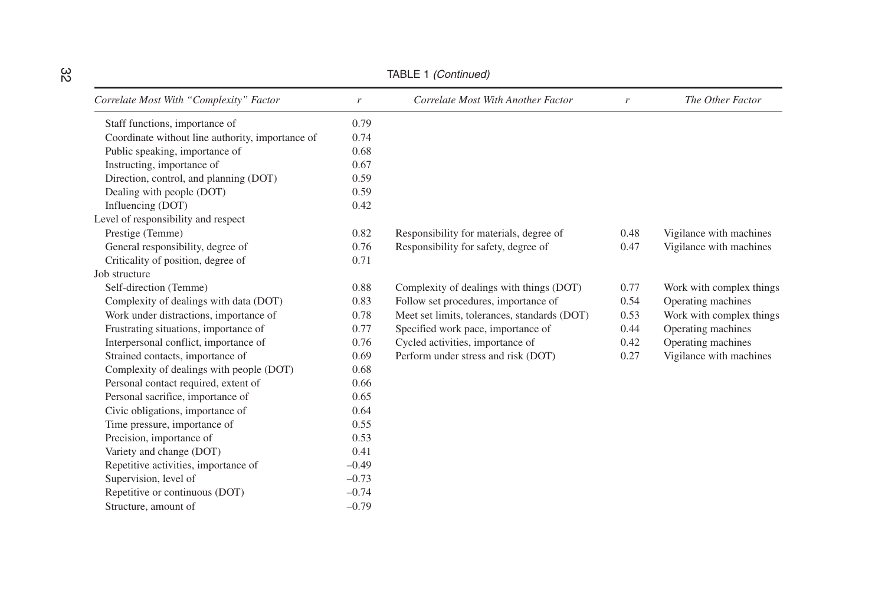| TABLE 1 (Continued)                              |         |                                              |                |                          |  |  |
|--------------------------------------------------|---------|----------------------------------------------|----------------|--------------------------|--|--|
| Correlate Most With "Complexity" Factor          | r       | Correlate Most With Another Factor           | $\mathfrak{r}$ | The Other Factor         |  |  |
| Staff functions, importance of                   | 0.79    |                                              |                |                          |  |  |
| Coordinate without line authority, importance of | 0.74    |                                              |                |                          |  |  |
| Public speaking, importance of                   | 0.68    |                                              |                |                          |  |  |
| Instructing, importance of                       | 0.67    |                                              |                |                          |  |  |
| Direction, control, and planning (DOT)           | 0.59    |                                              |                |                          |  |  |
| Dealing with people (DOT)                        | 0.59    |                                              |                |                          |  |  |
| Influencing (DOT)                                | 0.42    |                                              |                |                          |  |  |
| Level of responsibility and respect              |         |                                              |                |                          |  |  |
| Prestige (Temme)                                 | 0.82    | Responsibility for materials, degree of      | 0.48           | Vigilance with machines  |  |  |
| General responsibility, degree of                | 0.76    | Responsibility for safety, degree of         | 0.47           | Vigilance with machines  |  |  |
| Criticality of position, degree of               | 0.71    |                                              |                |                          |  |  |
| Job structure                                    |         |                                              |                |                          |  |  |
| Self-direction (Temme)                           | 0.88    | Complexity of dealings with things (DOT)     | 0.77           | Work with complex things |  |  |
| Complexity of dealings with data (DOT)           | 0.83    | Follow set procedures, importance of         | 0.54           | Operating machines       |  |  |
| Work under distractions, importance of           | 0.78    | Meet set limits, tolerances, standards (DOT) | 0.53           | Work with complex things |  |  |
| Frustrating situations, importance of            | 0.77    | Specified work pace, importance of           | 0.44           | Operating machines       |  |  |
| Interpersonal conflict, importance of            | 0.76    | Cycled activities, importance of             | 0.42           | Operating machines       |  |  |
| Strained contacts, importance of                 | 0.69    | Perform under stress and risk (DOT)          | 0.27           | Vigilance with machines  |  |  |
| Complexity of dealings with people (DOT)         | 0.68    |                                              |                |                          |  |  |
| Personal contact required, extent of             | 0.66    |                                              |                |                          |  |  |
| Personal sacrifice, importance of                | 0.65    |                                              |                |                          |  |  |
| Civic obligations, importance of                 | 0.64    |                                              |                |                          |  |  |
| Time pressure, importance of                     | 0.55    |                                              |                |                          |  |  |
| Precision, importance of                         | 0.53    |                                              |                |                          |  |  |
| Variety and change (DOT)                         | 0.41    |                                              |                |                          |  |  |
| Repetitive activities, importance of             | $-0.49$ |                                              |                |                          |  |  |
| Supervision, level of                            | $-0.73$ |                                              |                |                          |  |  |
| Repetitive or continuous (DOT)                   | $-0.74$ |                                              |                |                          |  |  |
| Structure, amount of                             | $-0.79$ |                                              |                |                          |  |  |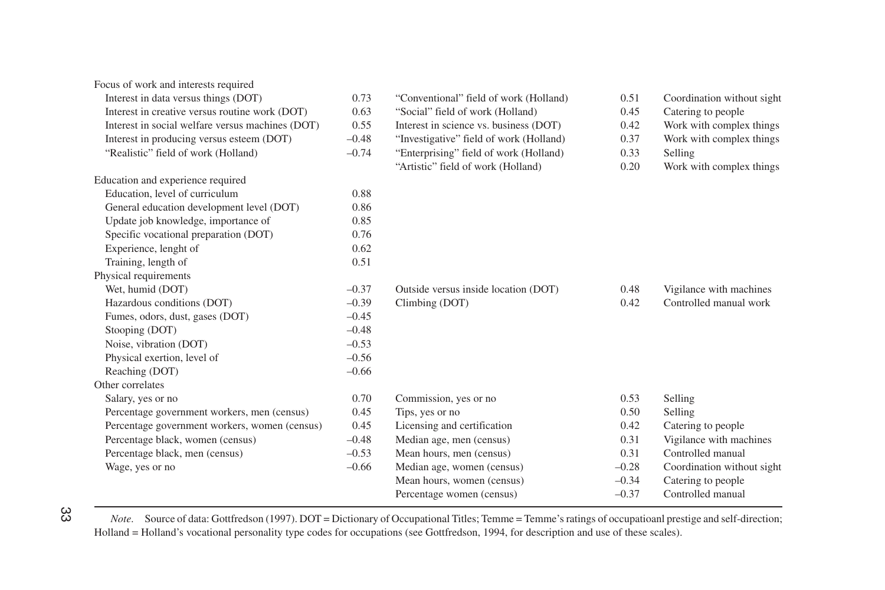| Focus of work and interests required             |         |                                         |         |                            |
|--------------------------------------------------|---------|-----------------------------------------|---------|----------------------------|
| Interest in data versus things (DOT)             | 0.73    | "Conventional" field of work (Holland)  | 0.51    | Coordination without sight |
| Interest in creative versus routine work (DOT)   | 0.63    | "Social" field of work (Holland)        | 0.45    | Catering to people         |
| Interest in social welfare versus machines (DOT) | 0.55    | Interest in science vs. business (DOT)  | 0.42    | Work with complex things   |
| Interest in producing versus esteem (DOT)        | $-0.48$ | "Investigative" field of work (Holland) | 0.37    | Work with complex things   |
| "Realistic" field of work (Holland)              | $-0.74$ | "Enterprising" field of work (Holland)  | 0.33    | Selling                    |
|                                                  |         | "Artistic" field of work (Holland)      | 0.20    | Work with complex things   |
| Education and experience required                |         |                                         |         |                            |
| Education, level of curriculum                   | 0.88    |                                         |         |                            |
| General education development level (DOT)        | 0.86    |                                         |         |                            |
| Update job knowledge, importance of              | 0.85    |                                         |         |                            |
| Specific vocational preparation (DOT)            | 0.76    |                                         |         |                            |
| Experience, lenght of                            | 0.62    |                                         |         |                            |
| Training, length of                              | 0.51    |                                         |         |                            |
| Physical requirements                            |         |                                         |         |                            |
| Wet, humid (DOT)                                 | $-0.37$ | Outside versus inside location (DOT)    | 0.48    | Vigilance with machines    |
| Hazardous conditions (DOT)                       | $-0.39$ | Climbing (DOT)                          | 0.42    | Controlled manual work     |
| Fumes, odors, dust, gases (DOT)                  | $-0.45$ |                                         |         |                            |
| Stooping (DOT)                                   | $-0.48$ |                                         |         |                            |
| Noise, vibration (DOT)                           | $-0.53$ |                                         |         |                            |
| Physical exertion, level of                      | $-0.56$ |                                         |         |                            |
| Reaching (DOT)                                   | $-0.66$ |                                         |         |                            |
| Other correlates                                 |         |                                         |         |                            |
| Salary, yes or no                                | 0.70    | Commission, yes or no                   | 0.53    | Selling                    |
| Percentage government workers, men (census)      | 0.45    | Tips, yes or no                         | 0.50    | Selling                    |
| Percentage government workers, women (census)    | 0.45    | Licensing and certification             | 0.42    | Catering to people         |
| Percentage black, women (census)                 | $-0.48$ | Median age, men (census)                | 0.31    | Vigilance with machines    |
| Percentage black, men (census)                   | $-0.53$ | Mean hours, men (census)                | 0.31    | Controlled manual          |
| Wage, yes or no                                  | $-0.66$ | Median age, women (census)              | $-0.28$ | Coordination without sight |
|                                                  |         | Mean hours, women (census)              | $-0.34$ | Catering to people         |
|                                                  |         | Percentage women (census)               | $-0.37$ | Controlled manual          |

33

*Note.* Source of data: Gottfredson (1997). DOT = Dictionary of Occupational Titles; Temme = Temme's ratings of occupatioanl prestige and self-direction; Holland <sup>=</sup> Holland's vocational personality type codes for occupations (see Gottfredson, 1994, for description and use of these scales).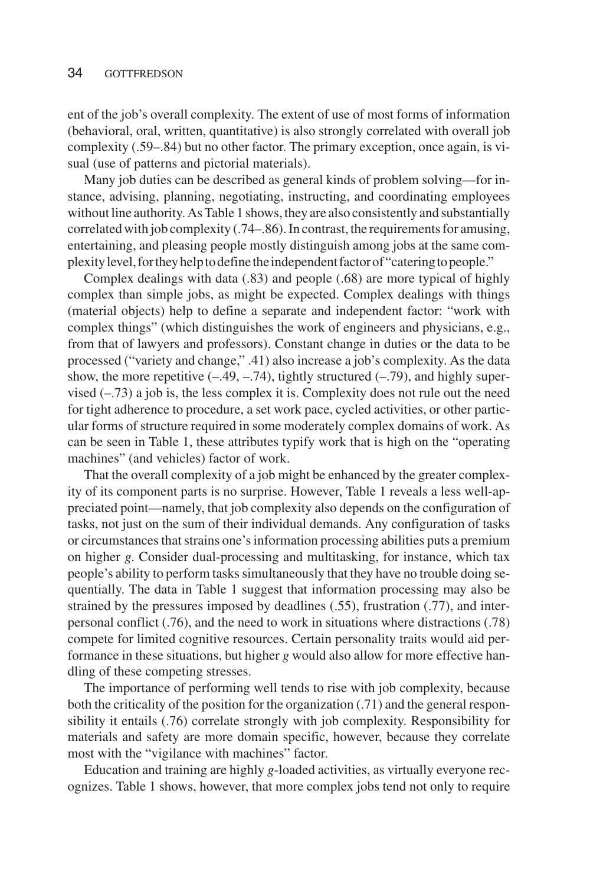ent of the job's overall complexity. The extent of use of most forms of information (behavioral, oral, written, quantitative) is also strongly correlated with overall job complexity (.59–.84) but no other factor. The primary exception, once again, is visual (use of patterns and pictorial materials).

Many job duties can be described as general kinds of problem solving—for instance, advising, planning, negotiating, instructing, and coordinating employees without line authority. As Table 1 shows, they are also consistently and substantially correlated with job complexity (.74–.86). In contrast, the requirements for amusing, entertaining, and pleasing people mostly distinguish among jobs at the same complexity level, for they help to define the independent factor of "catering to people."

Complex dealings with data (.83) and people (.68) are more typical of highly complex than simple jobs, as might be expected. Complex dealings with things (material objects) help to define a separate and independent factor: "work with complex things" (which distinguishes the work of engineers and physicians, e.g., from that of lawyers and professors). Constant change in duties or the data to be processed ("variety and change," .41) also increase a job's complexity. As the data show, the more repetitive  $(-.49, -.74)$ , tightly structured  $(-.79)$ , and highly supervised (–.73) a job is, the less complex it is. Complexity does not rule out the need for tight adherence to procedure, a set work pace, cycled activities, or other particular forms of structure required in some moderately complex domains of work. As can be seen in Table 1, these attributes typify work that is high on the "operating machines" (and vehicles) factor of work.

That the overall complexity of a job might be enhanced by the greater complexity of its component parts is no surprise. However, Table 1 reveals a less well-appreciated point—namely, that job complexity also depends on the configuration of tasks, not just on the sum of their individual demands. Any configuration of tasks or circumstances that strains one's information processing abilities puts a premium on higher *g*. Consider dual-processing and multitasking, for instance, which tax people's ability to perform tasks simultaneously that they have no trouble doing sequentially. The data in Table 1 suggest that information processing may also be strained by the pressures imposed by deadlines (.55), frustration (.77), and interpersonal conflict (.76), and the need to work in situations where distractions (.78) compete for limited cognitive resources. Certain personality traits would aid performance in these situations, but higher *g* would also allow for more effective handling of these competing stresses.

The importance of performing well tends to rise with job complexity, because both the criticality of the position for the organization (.71) and the general responsibility it entails (.76) correlate strongly with job complexity. Responsibility for materials and safety are more domain specific, however, because they correlate most with the "vigilance with machines" factor.

Education and training are highly *g*-loaded activities, as virtually everyone recognizes. Table 1 shows, however, that more complex jobs tend not only to require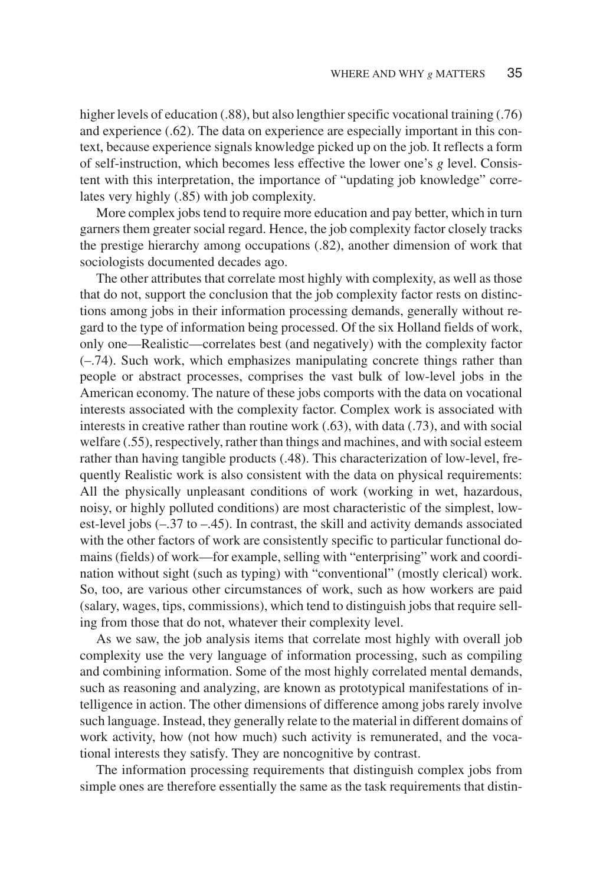higher levels of education (.88), but also lengthier specific vocational training (.76) and experience (.62). The data on experience are especially important in this context, because experience signals knowledge picked up on the job. It reflects a form of self-instruction, which becomes less effective the lower one's *g* level. Consistent with this interpretation, the importance of "updating job knowledge" correlates very highly (.85) with job complexity.

More complex jobs tend to require more education and pay better, which in turn garners them greater social regard. Hence, the job complexity factor closely tracks the prestige hierarchy among occupations (.82), another dimension of work that sociologists documented decades ago.

The other attributes that correlate most highly with complexity, as well as those that do not, support the conclusion that the job complexity factor rests on distinctions among jobs in their information processing demands, generally without regard to the type of information being processed. Of the six Holland fields of work, only one—Realistic—correlates best (and negatively) with the complexity factor (–.74). Such work, which emphasizes manipulating concrete things rather than people or abstract processes, comprises the vast bulk of low-level jobs in the American economy. The nature of these jobs comports with the data on vocational interests associated with the complexity factor. Complex work is associated with interests in creative rather than routine work (.63), with data (.73), and with social welfare (.55), respectively, rather than things and machines, and with social esteem rather than having tangible products (.48). This characterization of low-level, frequently Realistic work is also consistent with the data on physical requirements: All the physically unpleasant conditions of work (working in wet, hazardous, noisy, or highly polluted conditions) are most characteristic of the simplest, lowest-level jobs  $(-.37 \text{ to } -.45)$ . In contrast, the skill and activity demands associated with the other factors of work are consistently specific to particular functional domains (fields) of work—for example, selling with "enterprising" work and coordination without sight (such as typing) with "conventional" (mostly clerical) work. So, too, are various other circumstances of work, such as how workers are paid (salary, wages, tips, commissions), which tend to distinguish jobs that require selling from those that do not, whatever their complexity level.

As we saw, the job analysis items that correlate most highly with overall job complexity use the very language of information processing, such as compiling and combining information. Some of the most highly correlated mental demands, such as reasoning and analyzing, are known as prototypical manifestations of intelligence in action. The other dimensions of difference among jobs rarely involve such language. Instead, they generally relate to the material in different domains of work activity, how (not how much) such activity is remunerated, and the vocational interests they satisfy. They are noncognitive by contrast.

The information processing requirements that distinguish complex jobs from simple ones are therefore essentially the same as the task requirements that distin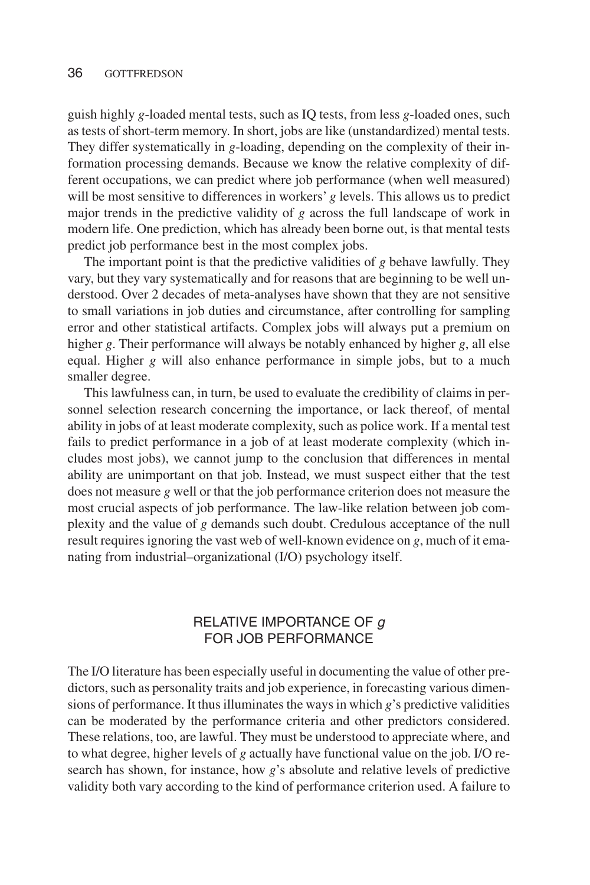guish highly *g*-loaded mental tests, such as IQ tests, from less *g*-loaded ones, such as tests of short-term memory. In short, jobs are like (unstandardized) mental tests. They differ systematically in *g*-loading, depending on the complexity of their information processing demands. Because we know the relative complexity of different occupations, we can predict where job performance (when well measured) will be most sensitive to differences in workers' *g* levels. This allows us to predict major trends in the predictive validity of *g* across the full landscape of work in modern life. One prediction, which has already been borne out, is that mental tests predict job performance best in the most complex jobs.

The important point is that the predictive validities of *g* behave lawfully. They vary, but they vary systematically and for reasons that are beginning to be well understood. Over 2 decades of meta-analyses have shown that they are not sensitive to small variations in job duties and circumstance, after controlling for sampling error and other statistical artifacts. Complex jobs will always put a premium on higher *g*. Their performance will always be notably enhanced by higher *g*, all else equal. Higher *g* will also enhance performance in simple jobs, but to a much smaller degree.

This lawfulness can, in turn, be used to evaluate the credibility of claims in personnel selection research concerning the importance, or lack thereof, of mental ability in jobs of at least moderate complexity, such as police work. If a mental test fails to predict performance in a job of at least moderate complexity (which includes most jobs), we cannot jump to the conclusion that differences in mental ability are unimportant on that job. Instead, we must suspect either that the test does not measure *g* well or that the job performance criterion does not measure the most crucial aspects of job performance. The law-like relation between job complexity and the value of *g* demands such doubt. Credulous acceptance of the null result requires ignoring the vast web of well-known evidence on *g*, much of it emanating from industrial–organizational (I/O) psychology itself.

## RELATIVE IMPORTANCE OF g FOR JOB PERFORMANCE

The I/O literature has been especially useful in documenting the value of other predictors, such as personality traits and job experience, in forecasting various dimensions of performance. It thus illuminates the ways in which *g*'s predictive validities can be moderated by the performance criteria and other predictors considered. These relations, too, are lawful. They must be understood to appreciate where, and to what degree, higher levels of *g* actually have functional value on the job. I/O research has shown, for instance, how *g*'s absolute and relative levels of predictive validity both vary according to the kind of performance criterion used. A failure to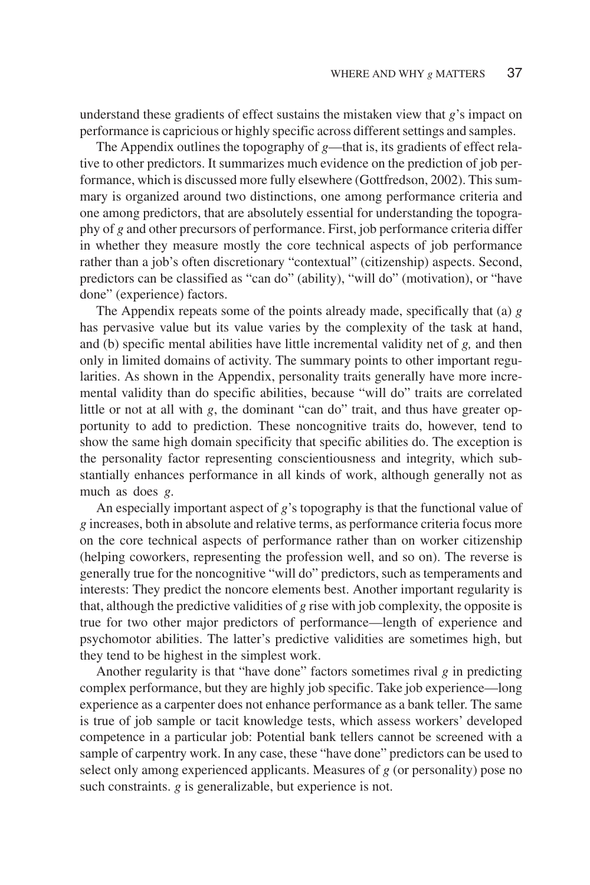understand these gradients of effect sustains the mistaken view that *g*'s impact on performance is capricious or highly specific across different settings and samples.

The Appendix outlines the topography of *g*—that is, its gradients of effect relative to other predictors. It summarizes much evidence on the prediction of job performance, which is discussed more fully elsewhere (Gottfredson, 2002). This summary is organized around two distinctions, one among performance criteria and one among predictors, that are absolutely essential for understanding the topography of *g* and other precursors of performance. First, job performance criteria differ in whether they measure mostly the core technical aspects of job performance rather than a job's often discretionary "contextual" (citizenship) aspects. Second, predictors can be classified as "can do" (ability), "will do" (motivation), or "have done" (experience) factors.

The Appendix repeats some of the points already made, specifically that (a) *g* has pervasive value but its value varies by the complexity of the task at hand, and (b) specific mental abilities have little incremental validity net of *g,* and then only in limited domains of activity. The summary points to other important regularities. As shown in the Appendix, personality traits generally have more incremental validity than do specific abilities, because "will do" traits are correlated little or not at all with *g*, the dominant "can do" trait, and thus have greater opportunity to add to prediction. These noncognitive traits do, however, tend to show the same high domain specificity that specific abilities do. The exception is the personality factor representing conscientiousness and integrity, which substantially enhances performance in all kinds of work, although generally not as much as does *g*.

An especially important aspect of *g*'s topography is that the functional value of *g* increases, both in absolute and relative terms, as performance criteria focus more on the core technical aspects of performance rather than on worker citizenship (helping coworkers, representing the profession well, and so on). The reverse is generally true for the noncognitive "will do" predictors, such as temperaments and interests: They predict the noncore elements best. Another important regularity is that, although the predictive validities of *g* rise with job complexity, the opposite is true for two other major predictors of performance—length of experience and psychomotor abilities. The latter's predictive validities are sometimes high, but they tend to be highest in the simplest work.

Another regularity is that "have done" factors sometimes rival *g* in predicting complex performance, but they are highly job specific. Take job experience—long experience as a carpenter does not enhance performance as a bank teller. The same is true of job sample or tacit knowledge tests, which assess workers' developed competence in a particular job: Potential bank tellers cannot be screened with a sample of carpentry work. In any case, these "have done" predictors can be used to select only among experienced applicants. Measures of *g* (or personality) pose no such constraints. *g* is generalizable, but experience is not.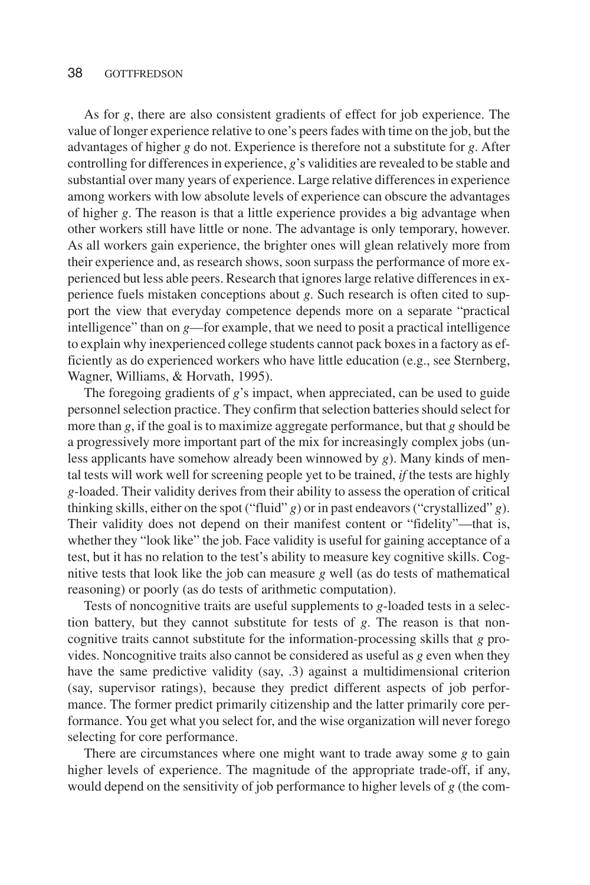As for *g*, there are also consistent gradients of effect for job experience. The value of longer experience relative to one's peers fades with time on the job, but the advantages of higher *g* do not. Experience is therefore not a substitute for *g*. After controlling for differences in experience, *g*'s validities are revealed to be stable and substantial over many years of experience. Large relative differences in experience among workers with low absolute levels of experience can obscure the advantages of higher *g*. The reason is that a little experience provides a big advantage when other workers still have little or none. The advantage is only temporary, however. As all workers gain experience, the brighter ones will glean relatively more from their experience and, as research shows, soon surpass the performance of more experienced but less able peers. Research that ignores large relative differences in experience fuels mistaken conceptions about *g*. Such research is often cited to support the view that everyday competence depends more on a separate "practical intelligence" than on *g*—for example, that we need to posit a practical intelligence to explain why inexperienced college students cannot pack boxes in a factory as efficiently as do experienced workers who have little education (e.g., see Sternberg, Wagner, Williams, & Horvath, 1995).

The foregoing gradients of *g*'s impact, when appreciated, can be used to guide personnel selection practice. They confirm that selection batteries should select for more than *g*, if the goal is to maximize aggregate performance, but that *g* should be a progressively more important part of the mix for increasingly complex jobs (unless applicants have somehow already been winnowed by *g*). Many kinds of mental tests will work well for screening people yet to be trained, *if* the tests are highly *g*-loaded. Their validity derives from their ability to assess the operation of critical thinking skills, either on the spot ("fluid" *g*) or in past endeavors ("crystallized" *g*). Their validity does not depend on their manifest content or "fidelity"—that is, whether they "look like" the job. Face validity is useful for gaining acceptance of a test, but it has no relation to the test's ability to measure key cognitive skills. Cognitive tests that look like the job can measure *g* well (as do tests of mathematical reasoning) or poorly (as do tests of arithmetic computation).

Tests of noncognitive traits are useful supplements to *g*-loaded tests in a selection battery, but they cannot substitute for tests of *g*. The reason is that noncognitive traits cannot substitute for the information-processing skills that *g* provides. Noncognitive traits also cannot be considered as useful as *g* even when they have the same predictive validity (say, .3) against a multidimensional criterion (say, supervisor ratings), because they predict different aspects of job performance. The former predict primarily citizenship and the latter primarily core performance. You get what you select for, and the wise organization will never forego selecting for core performance.

There are circumstances where one might want to trade away some *g* to gain higher levels of experience. The magnitude of the appropriate trade-off, if any, would depend on the sensitivity of job performance to higher levels of *g* (the com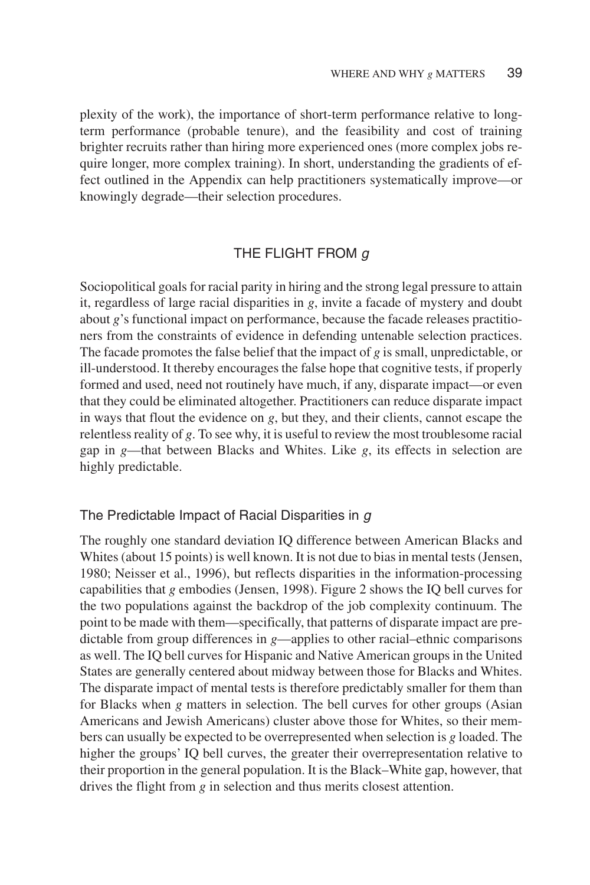plexity of the work), the importance of short-term performance relative to longterm performance (probable tenure), and the feasibility and cost of training brighter recruits rather than hiring more experienced ones (more complex jobs require longer, more complex training). In short, understanding the gradients of effect outlined in the Appendix can help practitioners systematically improve—or knowingly degrade—their selection procedures.

## THE FLIGHT FROM  $g$

Sociopolitical goals for racial parity in hiring and the strong legal pressure to attain it, regardless of large racial disparities in *g*, invite a facade of mystery and doubt about *g*'s functional impact on performance, because the facade releases practitioners from the constraints of evidence in defending untenable selection practices. The facade promotes the false belief that the impact of *g* is small, unpredictable, or ill-understood. It thereby encourages the false hope that cognitive tests, if properly formed and used, need not routinely have much, if any, disparate impact—or even that they could be eliminated altogether. Practitioners can reduce disparate impact in ways that flout the evidence on *g*, but they, and their clients, cannot escape the relentless reality of *g*. To see why, it is useful to review the most troublesome racial gap in *g*—that between Blacks and Whites. Like *g*, its effects in selection are highly predictable.

#### The Predictable Impact of Racial Disparities in g

The roughly one standard deviation IQ difference between American Blacks and Whites (about 15 points) is well known. It is not due to bias in mental tests (Jensen, 1980; Neisser et al., 1996), but reflects disparities in the information-processing capabilities that *g* embodies (Jensen, 1998). Figure 2 shows the IQ bell curves for the two populations against the backdrop of the job complexity continuum. The point to be made with them—specifically, that patterns of disparate impact are predictable from group differences in *g*—applies to other racial–ethnic comparisons as well. The IQ bell curves for Hispanic and Native American groups in the United States are generally centered about midway between those for Blacks and Whites. The disparate impact of mental tests is therefore predictably smaller for them than for Blacks when *g* matters in selection. The bell curves for other groups (Asian Americans and Jewish Americans) cluster above those for Whites, so their members can usually be expected to be overrepresented when selection is *g* loaded. The higher the groups' IQ bell curves, the greater their overrepresentation relative to their proportion in the general population. It is the Black–White gap, however, that drives the flight from *g* in selection and thus merits closest attention.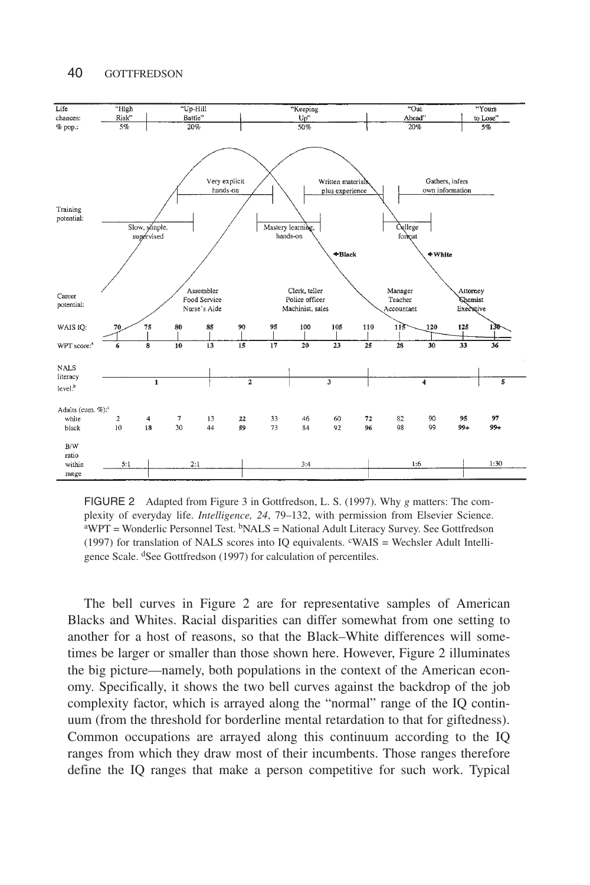

FIGURE 2 Adapted from Figure 3 in Gottfredson, L. S. (1997). Why *g* matters: The complexity of everyday life. *Intelligence, 24*, 79–132, with permission from Elsevier Science. <sup>a</sup>WPT = Wonderlic Personnel Test. <sup>b</sup>NALS = National Adult Literacy Survey. See Gottfredson (1997) for translation of NALS scores into IQ equivalents.  $\text{W AIS}$  = Wechsler Adult Intelligence Scale. dSee Gottfredson (1997) for calculation of percentiles.

The bell curves in Figure 2 are for representative samples of American Blacks and Whites. Racial disparities can differ somewhat from one setting to another for a host of reasons, so that the Black–White differences will sometimes be larger or smaller than those shown here. However, Figure 2 illuminates the big picture—namely, both populations in the context of the American economy. Specifically, it shows the two bell curves against the backdrop of the job complexity factor, which is arrayed along the "normal" range of the IQ continuum (from the threshold for borderline mental retardation to that for giftedness). Common occupations are arrayed along this continuum according to the IQ ranges from which they draw most of their incumbents. Those ranges therefore define the IQ ranges that make a person competitive for such work. Typical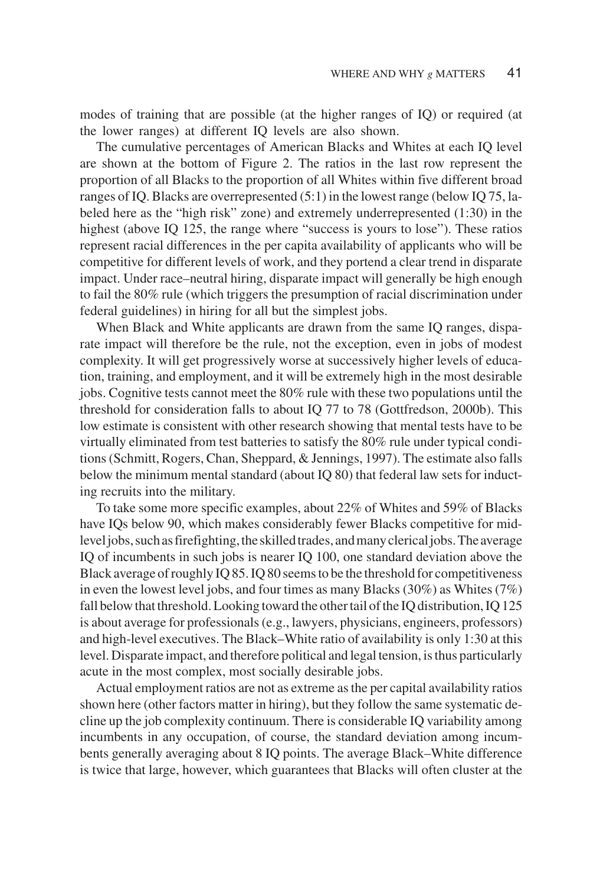modes of training that are possible (at the higher ranges of IQ) or required (at the lower ranges) at different IQ levels are also shown.

The cumulative percentages of American Blacks and Whites at each IQ level are shown at the bottom of Figure 2. The ratios in the last row represent the proportion of all Blacks to the proportion of all Whites within five different broad ranges of IQ. Blacks are overrepresented (5:1) in the lowest range (below IQ 75, labeled here as the "high risk" zone) and extremely underrepresented (1:30) in the highest (above IQ 125, the range where "success is yours to lose"). These ratios represent racial differences in the per capita availability of applicants who will be competitive for different levels of work, and they portend a clear trend in disparate impact. Under race–neutral hiring, disparate impact will generally be high enough to fail the 80% rule (which triggers the presumption of racial discrimination under federal guidelines) in hiring for all but the simplest jobs.

When Black and White applicants are drawn from the same IQ ranges, disparate impact will therefore be the rule, not the exception, even in jobs of modest complexity. It will get progressively worse at successively higher levels of education, training, and employment, and it will be extremely high in the most desirable jobs. Cognitive tests cannot meet the 80% rule with these two populations until the threshold for consideration falls to about IQ 77 to 78 (Gottfredson, 2000b). This low estimate is consistent with other research showing that mental tests have to be virtually eliminated from test batteries to satisfy the 80% rule under typical conditions (Schmitt, Rogers, Chan, Sheppard, & Jennings, 1997). The estimate also falls below the minimum mental standard (about IQ 80) that federal law sets for inducting recruits into the military.

To take some more specific examples, about 22% of Whites and 59% of Blacks have IQs below 90, which makes considerably fewer Blacks competitive for midlevel jobs, such as firefighting, the skilled trades, and many clerical jobs. The average IQ of incumbents in such jobs is nearer IQ 100, one standard deviation above the Black average of roughly IQ 85. IQ 80 seems to be the threshold for competitiveness in even the lowest level jobs, and four times as many Blacks (30%) as Whites (7%) fall below that threshold. Looking toward the other tail of the IQ distribution, IQ 125 is about average for professionals (e.g., lawyers, physicians, engineers, professors) and high-level executives. The Black–White ratio of availability is only 1:30 at this level. Disparate impact, and therefore political and legal tension, is thus particularly acute in the most complex, most socially desirable jobs.

Actual employment ratios are not as extreme as the per capital availability ratios shown here (other factors matter in hiring), but they follow the same systematic decline up the job complexity continuum. There is considerable IQ variability among incumbents in any occupation, of course, the standard deviation among incumbents generally averaging about 8 IQ points. The average Black–White difference is twice that large, however, which guarantees that Blacks will often cluster at the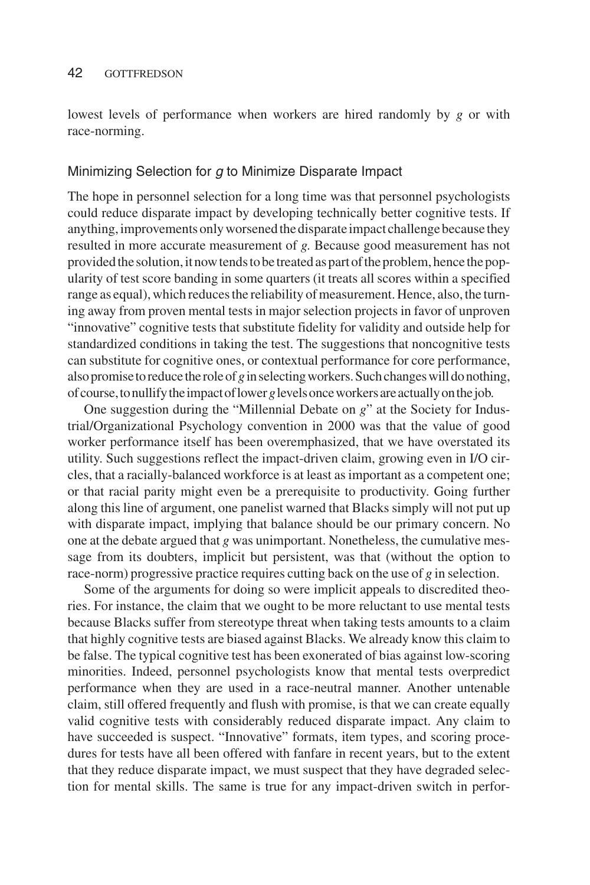lowest levels of performance when workers are hired randomly by *g* or with race-norming.

#### Minimizing Selection for  $g$  to Minimize Disparate Impact

The hope in personnel selection for a long time was that personnel psychologists could reduce disparate impact by developing technically better cognitive tests. If anything, improvements only worsened the disparate impact challenge because they resulted in more accurate measurement of *g.* Because good measurement has not provided the solution, it now tends to be treated as part of the problem, hence the popularity of test score banding in some quarters (it treats all scores within a specified range as equal), which reduces the reliability of measurement. Hence, also, the turning away from proven mental tests in major selection projects in favor of unproven "innovative" cognitive tests that substitute fidelity for validity and outside help for standardized conditions in taking the test. The suggestions that noncognitive tests can substitute for cognitive ones, or contextual performance for core performance, alsopromisetoreducetheroleof*g*inselectingworkers.Suchchangeswilldonothing, ofcourse,tonullifytheimpactoflower*g*levelsonceworkersareactuallyonthejob.

One suggestion during the "Millennial Debate on *g*" at the Society for Industrial/Organizational Psychology convention in 2000 was that the value of good worker performance itself has been overemphasized, that we have overstated its utility. Such suggestions reflect the impact-driven claim, growing even in I/O circles, that a racially-balanced workforce is at least as important as a competent one; or that racial parity might even be a prerequisite to productivity. Going further along this line of argument, one panelist warned that Blacks simply will not put up with disparate impact, implying that balance should be our primary concern. No one at the debate argued that *g* was unimportant. Nonetheless, the cumulative message from its doubters, implicit but persistent, was that (without the option to race-norm) progressive practice requires cutting back on the use of *g* in selection.

Some of the arguments for doing so were implicit appeals to discredited theories. For instance, the claim that we ought to be more reluctant to use mental tests because Blacks suffer from stereotype threat when taking tests amounts to a claim that highly cognitive tests are biased against Blacks. We already know this claim to be false. The typical cognitive test has been exonerated of bias against low-scoring minorities. Indeed, personnel psychologists know that mental tests overpredict performance when they are used in a race-neutral manner. Another untenable claim, still offered frequently and flush with promise, is that we can create equally valid cognitive tests with considerably reduced disparate impact. Any claim to have succeeded is suspect. "Innovative" formats, item types, and scoring procedures for tests have all been offered with fanfare in recent years, but to the extent that they reduce disparate impact, we must suspect that they have degraded selection for mental skills. The same is true for any impact-driven switch in perfor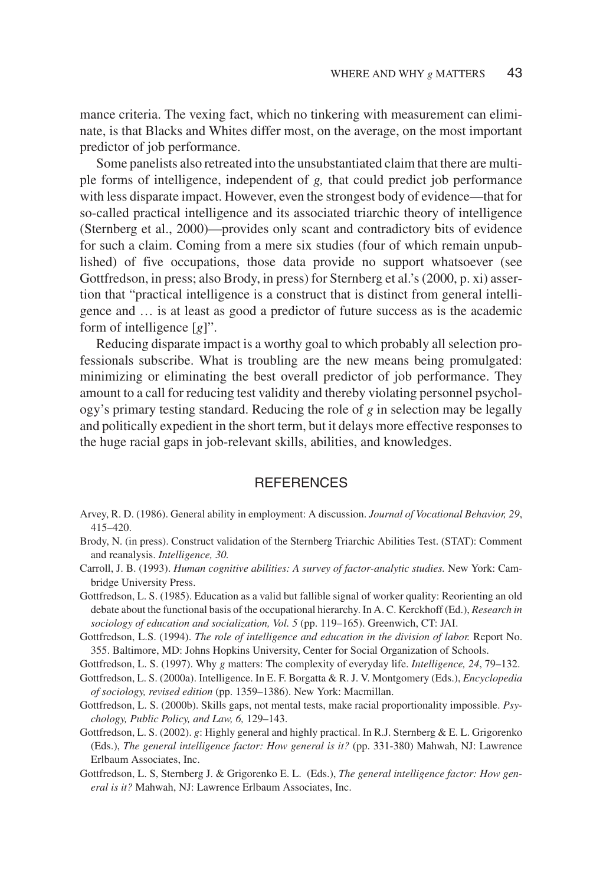mance criteria. The vexing fact, which no tinkering with measurement can eliminate, is that Blacks and Whites differ most, on the average, on the most important predictor of job performance.

Some panelists also retreated into the unsubstantiated claim that there are multiple forms of intelligence, independent of *g,* that could predict job performance with less disparate impact. However, even the strongest body of evidence—that for so-called practical intelligence and its associated triarchic theory of intelligence (Sternberg et al., 2000)—provides only scant and contradictory bits of evidence for such a claim. Coming from a mere six studies (four of which remain unpublished) of five occupations, those data provide no support whatsoever (see Gottfredson, in press; also Brody, in press) for Sternberg et al.'s (2000, p. xi) assertion that "practical intelligence is a construct that is distinct from general intelligence and … is at least as good a predictor of future success as is the academic form of intelligence [*g*]".

Reducing disparate impact is a worthy goal to which probably all selection professionals subscribe. What is troubling are the new means being promulgated: minimizing or eliminating the best overall predictor of job performance. They amount to a call for reducing test validity and thereby violating personnel psychology's primary testing standard. Reducing the role of *g* in selection may be legally and politically expedient in the short term, but it delays more effective responses to the huge racial gaps in job-relevant skills, abilities, and knowledges.

#### **REFERENCES**

- Arvey, R. D. (1986). General ability in employment: A discussion. *Journal of Vocational Behavior, 29*, 415–420.
- Brody, N. (in press). Construct validation of the Sternberg Triarchic Abilities Test. (STAT): Comment and reanalysis. *Intelligence, 30.*
- Carroll, J. B. (1993). *Human cognitive abilities: A survey of factor-analytic studies.* New York: Cambridge University Press.
- Gottfredson, L. S. (1985). Education as a valid but fallible signal of worker quality: Reorienting an old debate about the functional basis of the occupational hierarchy. In A. C. Kerckhoff (Ed.), *Research in sociology of education and socialization, Vol. 5* (pp. 119–165). Greenwich, CT: JAI.
- Gottfredson, L.S. (1994). *The role of intelligence and education in the division of labor.* Report No. 355. Baltimore, MD: Johns Hopkins University, Center for Social Organization of Schools.
- Gottfredson, L. S. (1997). Why *g* matters: The complexity of everyday life. *Intelligence, 24*, 79–132.

Gottfredson, L. S. (2000a). Intelligence. In E. F. Borgatta & R. J. V. Montgomery (Eds.), *Encyclopedia of sociology, revised edition* (pp. 1359–1386). New York: Macmillan.

- Gottfredson, L. S. (2000b). Skills gaps, not mental tests, make racial proportionality impossible. *Psychology, Public Policy, and Law, 6,* 129–143.
- Gottfredson, L. S. (2002). *g*: Highly general and highly practical. In R.J. Sternberg & E. L. Grigorenko (Eds.), *The general intelligence factor: How general is it?* (pp. 331-380) Mahwah, NJ: Lawrence Erlbaum Associates, Inc.
- Gottfredson, L. S, Sternberg J. & Grigorenko E. L. (Eds.), *The general intelligence factor: How general is it?* Mahwah, NJ: Lawrence Erlbaum Associates, Inc.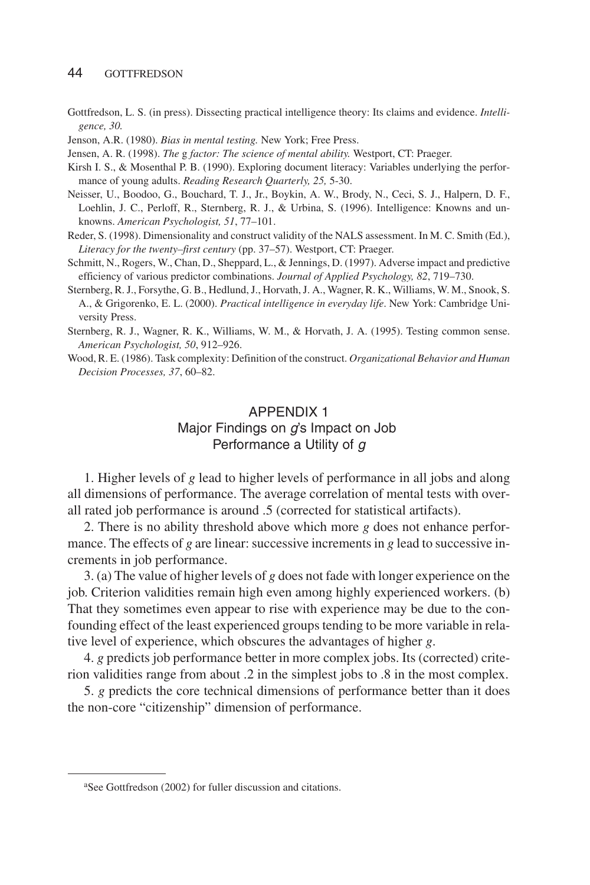- Gottfredson, L. S. (in press). Dissecting practical intelligence theory: Its claims and evidence. *Intelligence, 30.*
- Jenson, A.R. (1980). *Bias in mental testing.* New York; Free Press.
- Jensen, A. R. (1998). *The* g *factor: The science of mental ability.* Westport, CT: Praeger.
- Kirsh I. S., & Mosenthal P. B. (1990). Exploring document literacy: Variables underlying the performance of young adults. *Reading Research Quarterly, 25,* 5-30.
- Neisser, U., Boodoo, G., Bouchard, T. J., Jr., Boykin, A. W., Brody, N., Ceci, S. J., Halpern, D. F., Loehlin, J. C., Perloff, R., Sternberg, R. J., & Urbina, S. (1996). Intelligence: Knowns and unknowns. *American Psychologist, 51*, 77–101.
- Reder, S. (1998). Dimensionality and construct validity of the NALS assessment. In M. C. Smith (Ed.), *Literacy for the twenty–first century* (pp. 37–57). Westport, CT: Praeger.
- Schmitt, N., Rogers, W., Chan, D., Sheppard, L., & Jennings, D. (1997). Adverse impact and predictive efficiency of various predictor combinations. *Journal of Applied Psychology, 82*, 719–730.
- Sternberg, R. J., Forsythe, G. B., Hedlund, J., Horvath, J. A., Wagner, R. K., Williams, W. M., Snook, S. A., & Grigorenko, E. L. (2000). *Practical intelligence in everyday life*. New York: Cambridge University Press.
- Sternberg, R. J., Wagner, R. K., Williams, W. M., & Horvath, J. A. (1995). Testing common sense. *American Psychologist, 50*, 912–926.
- Wood, R. E. (1986). Task complexity: Definition of the construct. *Organizational Behavior and Human Decision Processes, 37*, 60–82.

## APPENDIX 1 Major Findings on g's Impact on Job Performance a Utility of g

1. Higher levels of *g* lead to higher levels of performance in all jobs and along all dimensions of performance. The average correlation of mental tests with overall rated job performance is around .5 (corrected for statistical artifacts).

2. There is no ability threshold above which more *g* does not enhance performance. The effects of *g* are linear: successive increments in *g* lead to successive increments in job performance.

3. (a) The value of higher levels of *g* does not fade with longer experience on the job. Criterion validities remain high even among highly experienced workers. (b) That they sometimes even appear to rise with experience may be due to the confounding effect of the least experienced groups tending to be more variable in relative level of experience, which obscures the advantages of higher *g*.

4. *g* predicts job performance better in more complex jobs. Its (corrected) criterion validities range from about .2 in the simplest jobs to .8 in the most complex.

5. *g* predicts the core technical dimensions of performance better than it does the non-core "citizenship" dimension of performance.

aSee Gottfredson (2002) for fuller discussion and citations.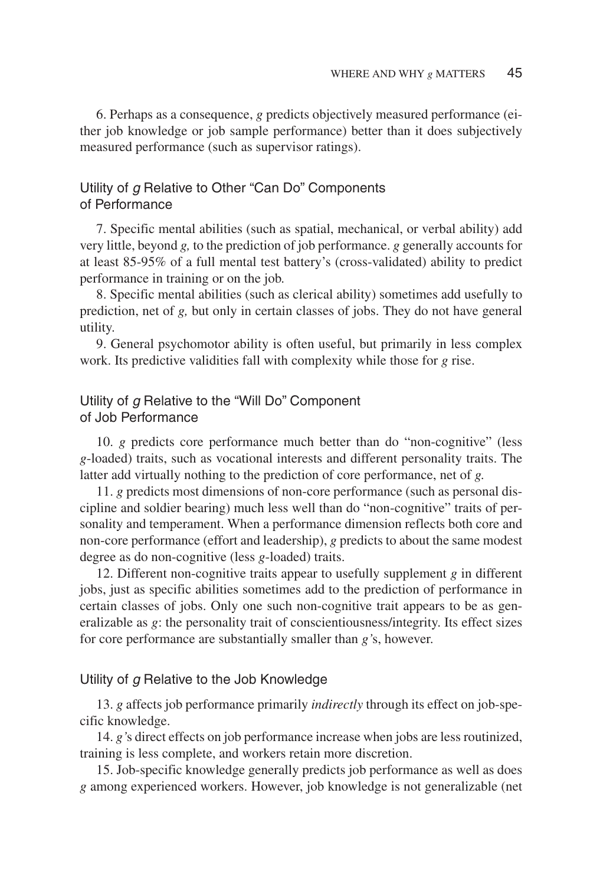6. Perhaps as a consequence, *g* predicts objectively measured performance (either job knowledge or job sample performance) better than it does subjectively measured performance (such as supervisor ratings).

## Utility of g Relative to Other "Can Do" Components of Performance

7. Specific mental abilities (such as spatial, mechanical, or verbal ability) add very little, beyond *g,* to the prediction of job performance. *g* generally accounts for at least 85-95% of a full mental test battery's (cross-validated) ability to predict performance in training or on the job.

8. Specific mental abilities (such as clerical ability) sometimes add usefully to prediction, net of *g,* but only in certain classes of jobs. They do not have general utility.

9. General psychomotor ability is often useful, but primarily in less complex work. Its predictive validities fall with complexity while those for *g* rise.

## Utility of g Relative to the "Will Do" Component of Job Performance

10. *g* predicts core performance much better than do "non-cognitive" (less *g*-loaded) traits, such as vocational interests and different personality traits. The latter add virtually nothing to the prediction of core performance, net of *g.*

11. *g* predicts most dimensions of non-core performance (such as personal discipline and soldier bearing) much less well than do "non-cognitive" traits of personality and temperament. When a performance dimension reflects both core and non-core performance (effort and leadership), *g* predicts to about the same modest degree as do non-cognitive (less *g*-loaded) traits.

12. Different non-cognitive traits appear to usefully supplement *g* in different jobs, just as specific abilities sometimes add to the prediction of performance in certain classes of jobs. Only one such non-cognitive trait appears to be as generalizable as *g*: the personality trait of conscientiousness/integrity. Its effect sizes for core performance are substantially smaller than *g'*s, however.

### Utility of g Relative to the Job Knowledge

13. *g* affects job performance primarily *indirectly* through its effect on job-specific knowledge.

14. *g'*s direct effects on job performance increase when jobs are less routinized, training is less complete, and workers retain more discretion.

15. Job-specific knowledge generally predicts job performance as well as does *g* among experienced workers. However, job knowledge is not generalizable (net